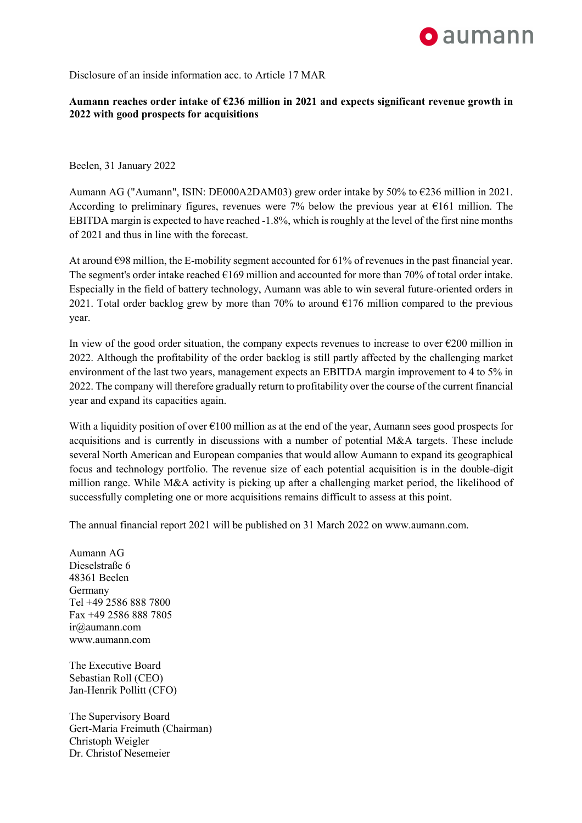## **o** aumann

Disclosure of an inside information acc. to Article 17 MAR

## **Aumann reaches order intake of €236 million in 2021 and expects significant revenue growth in 2022 with good prospects for acquisitions**

Beelen, 31 January 2022

Aumann AG ("Aumann", ISIN: DE000A2DAM03) grew order intake by 50% to €236 million in 2021. According to preliminary figures, revenues were 7% below the previous year at  $E161$  million. The EBITDA margin is expected to have reached -1.8%, which is roughly at the level of the first nine months of 2021 and thus in line with the forecast.

At around  $\epsilon$ 98 million, the E-mobility segment accounted for 61% of revenues in the past financial year. The segment's order intake reached  $\epsilon$ 169 million and accounted for more than 70% of total order intake. Especially in the field of battery technology, Aumann was able to win several future-oriented orders in 2021. Total order backlog grew by more than 70% to around  $E176$  million compared to the previous year.

In view of the good order situation, the company expects revenues to increase to over  $\epsilon$ 200 million in 2022. Although the profitability of the order backlog is still partly affected by the challenging market environment of the last two years, management expects an EBITDA margin improvement to 4 to 5% in 2022. The company will therefore gradually return to profitability over the course of the current financial year and expand its capacities again.

With a liquidity position of over  $\epsilon$ 100 million as at the end of the year, Aumann sees good prospects for acquisitions and is currently in discussions with a number of potential M&A targets. These include several North American and European companies that would allow Aumann to expand its geographical focus and technology portfolio. The revenue size of each potential acquisition is in the double-digit million range. While M&A activity is picking up after a challenging market period, the likelihood of successfully completing one or more acquisitions remains difficult to assess at this point.

The annual financial report 2021 will be published on 31 March 2022 on www.aumann.com.

Aumann AG Dieselstraße 6 48361 Beelen Germany Tel +49 2586 888 7800 Fax +49 2586 888 7805 ir@aumann.com www.aumann.com

The Executive Board Sebastian Roll (CEO) Jan-Henrik Pollitt (CFO)

The Supervisory Board Gert-Maria Freimuth (Chairman) Christoph Weigler Dr. Christof Nesemeier